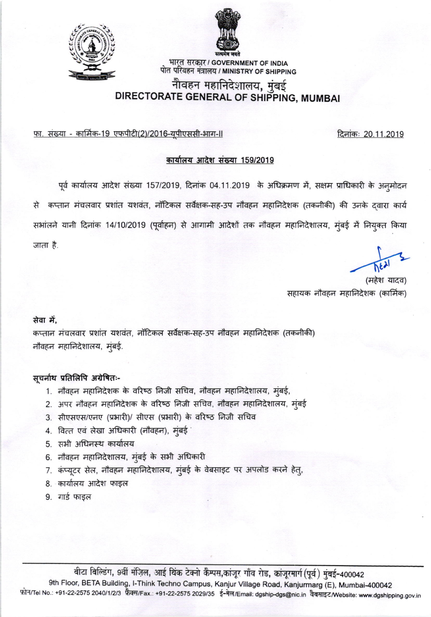

भारत सरकार / GOVERNMENT OF INDIA पोत परिवहन मंत्रालय / MINISTRY OF SHIPPING

## नौवहन महानिदेशालय, मुंबई DIRECTORATE GENERAL OF SHIPPING, MUMBAI

<u>फा. संख्या - कार्मिक-19 एफपीटी(2)/2016-युपीएससी-भाग-॥</u>

### कार्यालय आदेश संख्या 159/2019

पूर्व कार्यालय आदेश संख्या 157/2019, दिनांक 04.11.2019 के अधिक्रमण में, सक्षम प्राधिकारी के अनुमोदन से कप्तान मंचलवार प्रशांत यशवंत, नॉटिकल सर्वेक्षक-सह-उप नौवहन महानिदेशक (तकनीकी) की उनके दवारा कार्य सभांलने यानी दिनांक 14/10/2019 (पूर्वाहन) से आगामी आदेशों तक नौवहन महानिदेशालय, मुंबई में नियुक्त किया जाता है.

(महेश यादव) सहायक नौवहन महानिदेशक (कार्मिक)

#### सेवा में.

कप्तान मंचलवार प्रशांत यशवंत, नॉटिकल सर्वेक्षक-सह-उप नौवहन महानिदेशक (तकनीकी) नौवहन महानिदेशालय, मुंबई.

#### सूचर्नाथ प्रतिलिपि अग्रेषितः-

- 1. नौवहन महानिदेशक के वरिष्ठ निजी सचिव, नौवहन महानिदेशालय, मुंबई,
- 2. अपर नौवहन महानिदेशक के वरिष्ठ निजी सचिव, नौवहन महानिदेशालय, मुंबई
- 3. सीएसएस/एनए (प्रभारी)/ सीएस (प्रभारी) के वरिष्ठ निजी सचिव
- 4. वित्त एवं लेखा अधिकारी (नौवहन), मुंबई
- 5. सभी अधिनस्थ कार्यालय
- 6. नौवहन महानिदेशालय, मुंबई के सभी अधिकारी
- 7. कंप्यूटर सेल, नौवहन महानिदेशालय, मुंबई के वेबसाइट पर अपलोड करने हेतू,
- 8. कार्यालय आदेश फाइल
- 9. गार्ड फाइल

वीटा विल्डिंग, 9वीं मंज़िल, आई थिंक टेक्नो कैम्पस,कांजूर गाँव रोड, कांजूरमार्ग (पूर्व) मुंबई-400042 9th Floor, BETA Building, I-Think Techno Campus, Kanjur Village Road, Kanjurmarg (E), Mumbai-400042 फ़ोन/Tel No.: +91-22-2575 2040/1/2/3 फ़ैक्स/Fax.: +91-22-2575 2029/35 ई-मेल/Email: dgship-dgs@nic.in वैवसाइट/Website: www.dgshipping.gov.in



दिनांकः 20.11.2019